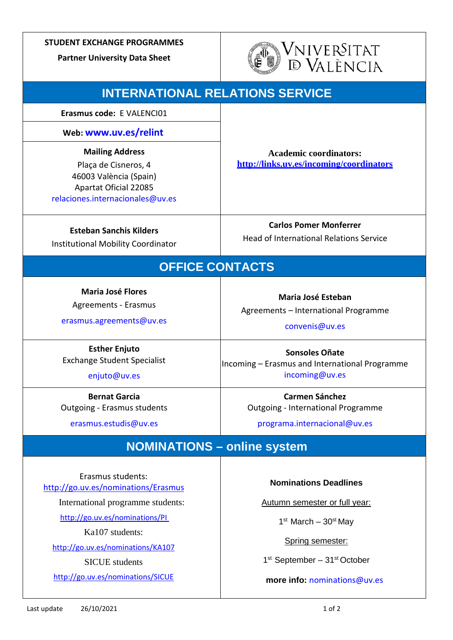### **STUDENT EXCHANGE PROGRAMMES**

**Partner University Data Sheet**



| <b>INTERNATIONAL RELATIONS SERVICE</b>                                                                                                                                                                                                                |                                                                                                                                                                                                                                                                                 |
|-------------------------------------------------------------------------------------------------------------------------------------------------------------------------------------------------------------------------------------------------------|---------------------------------------------------------------------------------------------------------------------------------------------------------------------------------------------------------------------------------------------------------------------------------|
| Erasmus code: E VALENCI01                                                                                                                                                                                                                             |                                                                                                                                                                                                                                                                                 |
| Web: www.uv.es/relint                                                                                                                                                                                                                                 |                                                                                                                                                                                                                                                                                 |
| <b>Mailing Address</b><br>Plaça de Cisneros, 4<br>46003 València (Spain)<br><b>Apartat Oficial 22085</b><br>relaciones.internacionales@uv.es                                                                                                          | <b>Academic coordinators:</b><br>http://links.uv.es/incoming/coordinators                                                                                                                                                                                                       |
| <b>Esteban Sanchis Kilders</b><br><b>Institutional Mobility Coordinator</b>                                                                                                                                                                           | <b>Carlos Pomer Monferrer</b><br><b>Head of International Relations Service</b>                                                                                                                                                                                                 |
| <b>OFFICE CONTACTS</b>                                                                                                                                                                                                                                |                                                                                                                                                                                                                                                                                 |
| <b>Maria José Flores</b><br>Agreements - Erasmus<br>erasmus.agreements@uv.es<br><b>Esther Enjuto</b><br><b>Exchange Student Specialist</b><br>enjuto@uv.es<br><b>Bernat Garcia</b><br><b>Outgoing - Erasmus students</b><br>erasmus.estudis@uv.es     | Maria José Esteban<br>Agreements - International Programme<br>convenis@uv.es<br><b>Sonsoles Oñate</b><br>Incoming - Erasmus and International Programme<br>incoming@uv.es<br><b>Carmen Sánchez</b><br><b>Outgoing - International Programme</b><br>programa.internacional@uv.es |
| <b>NOMINATIONS - online system</b>                                                                                                                                                                                                                    |                                                                                                                                                                                                                                                                                 |
| Erasmus students:<br>http://go.uv.es/nominations/Erasmus<br>International programme students:<br>http://go.uv.es/nominations/PI<br>Ka107 students:<br>http://go.uv.es/nominations/KA107<br><b>SICUE</b> students<br>http://go.uv.es/nominations/SICUE | <b>Nominations Deadlines</b><br>Autumn semester or full year:<br>$1st$ March - $30st$ May<br>Spring semester:<br>1 <sup>st</sup> September - 31 <sup>st</sup> October<br>more info: nominations@uv.es                                                                           |